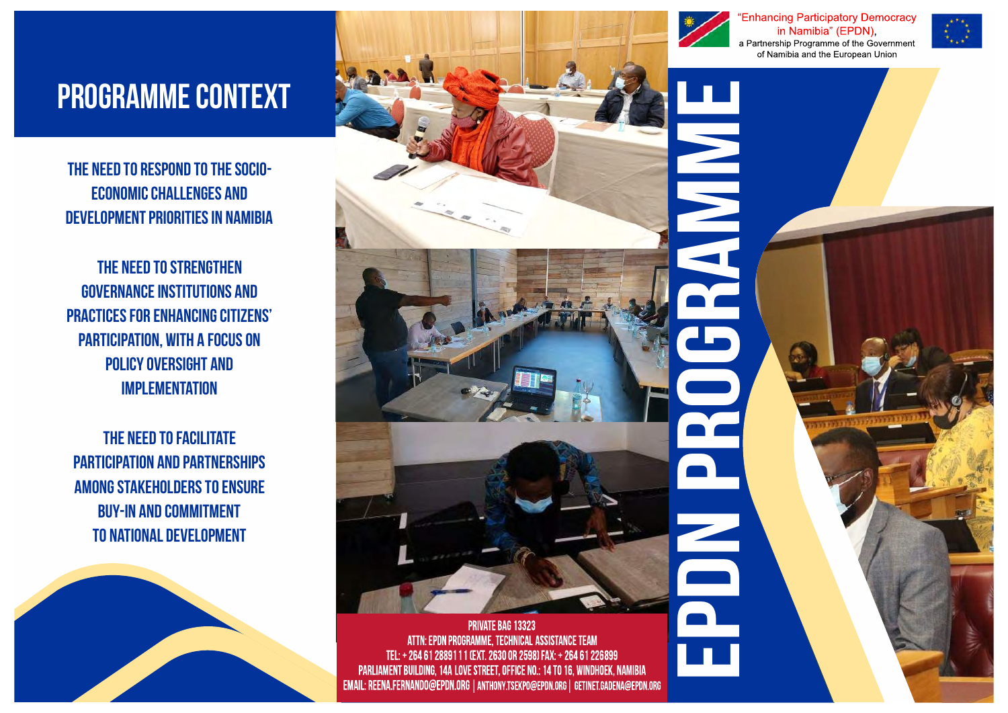# Programme context

The need to respond to the socioeconomic challenges and development priorities in Namibia

The need to strengthen governance institutions and practices for enhancing citizens' participation, with a focus on policy oversight and **IMPLEMENTATION** 

The need to facilitate participation and partnerships among stakeholders to ensure buy-in and commitment to national development





ATTN: EPDN PROGRAMME, TECHNICAL ASSISTANCE TEAM TEL: + 264 61 2889111 (EXT. 2630 OR 2598) FAX: + 264 61 226899 PARLIAMENT BUILDING, 14A LOVE STREET, OFFICE NO.: 14 TO 16, WINDHOEK, NAMIBIA EMAIL: REENA.FERNANDO@EPDN.ORG | ANTHONY.TSEKPO@EPDN.ORG | GETINET.GADENA@EPDN.ORG



**Enhancing Participatory Democracy** in Namibia" (EPDN), a Partnership Programme of the Government of Namibia and the European Union